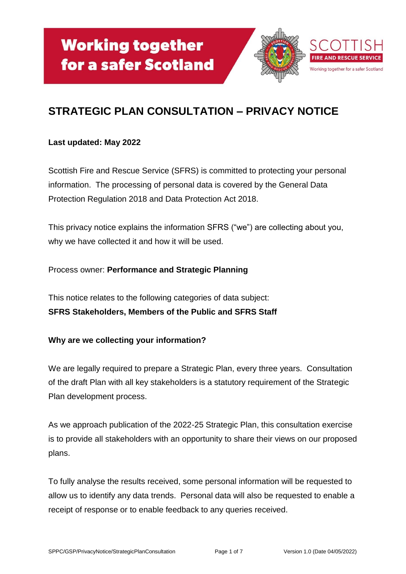

# **STRATEGIC PLAN CONSULTATION – PRIVACY NOTICE**

#### **Last updated: May 2022**

Scottish Fire and Rescue Service (SFRS) is committed to protecting your personal information. The processing of personal data is covered by the General Data Protection Regulation 2018 and Data Protection Act 2018.

This privacy notice explains the information SFRS ("we") are collecting about you, why we have collected it and how it will be used.

# Process owner: **Performance and Strategic Planning**

This notice relates to the following categories of data subject: **SFRS Stakeholders, Members of the Public and SFRS Staff**

# **Why are we collecting your information?**

We are legally required to prepare a Strategic Plan, every three years. Consultation of the draft Plan with all key stakeholders is a statutory requirement of the Strategic Plan development process.

As we approach publication of the 2022-25 Strategic Plan, this consultation exercise is to provide all stakeholders with an opportunity to share their views on our proposed plans.

To fully analyse the results received, some personal information will be requested to allow us to identify any data trends. Personal data will also be requested to enable a receipt of response or to enable feedback to any queries received.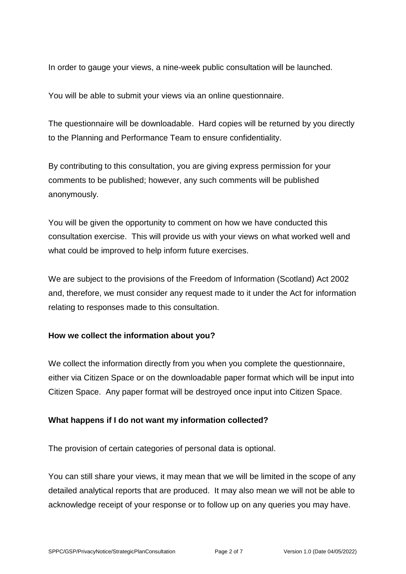In order to gauge your views, a nine-week public consultation will be launched.

You will be able to submit your views via an online questionnaire.

The questionnaire will be downloadable. Hard copies will be returned by you directly to the Planning and Performance Team to ensure confidentiality.

By contributing to this consultation, you are giving express permission for your comments to be published; however, any such comments will be published anonymously.

You will be given the opportunity to comment on how we have conducted this consultation exercise. This will provide us with your views on what worked well and what could be improved to help inform future exercises.

We are subject to the provisions of the Freedom of Information (Scotland) Act 2002 and, therefore, we must consider any request made to it under the Act for information relating to responses made to this consultation.

#### **How we collect the information about you?**

We collect the information directly from you when you complete the questionnaire, either via Citizen Space or on the downloadable paper format which will be input into Citizen Space. Any paper format will be destroyed once input into Citizen Space.

# **What happens if I do not want my information collected?**

The provision of certain categories of personal data is optional.

You can still share your views, it may mean that we will be limited in the scope of any detailed analytical reports that are produced. It may also mean we will not be able to acknowledge receipt of your response or to follow up on any queries you may have.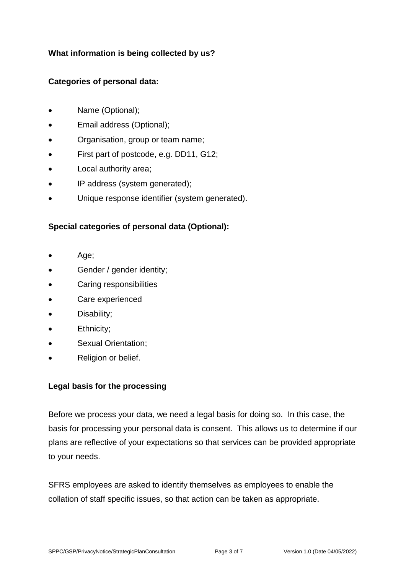# **What information is being collected by us?**

# **Categories of personal data:**

- Name (Optional);
- Email address (Optional);
- Organisation, group or team name;
- First part of postcode, e.g. DD11, G12;
- Local authority area;
- IP address (system generated);
- Unique response identifier (system generated).

# **Special categories of personal data (Optional):**

- Age;
- Gender / gender identity;
- Caring responsibilities
- Care experienced
- Disability;
- Ethnicity;
- Sexual Orientation;
- Religion or belief.

# **Legal basis for the processing**

Before we process your data, we need a legal basis for doing so. In this case, the basis for processing your personal data is consent. This allows us to determine if our plans are reflective of your expectations so that services can be provided appropriate to your needs.

SFRS employees are asked to identify themselves as employees to enable the collation of staff specific issues, so that action can be taken as appropriate.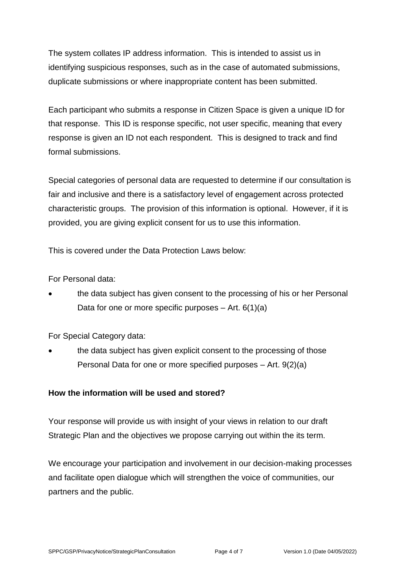The system collates IP address information. This is intended to assist us in identifying suspicious responses, such as in the case of automated submissions, duplicate submissions or where inappropriate content has been submitted.

Each participant who submits a response in Citizen Space is given a unique ID for that response. This ID is response specific, not user specific, meaning that every response is given an ID not each respondent. This is designed to track and find formal submissions.

Special categories of personal data are requested to determine if our consultation is fair and inclusive and there is a satisfactory level of engagement across protected characteristic groups. The provision of this information is optional. However, if it is provided, you are giving explicit consent for us to use this information.

This is covered under the Data Protection Laws below:

For Personal data:

• the data subject has given consent to the processing of his or her Personal Data for one or more specific purposes  $-$  Art. 6(1)(a)

For Special Category data:

the data subject has given explicit consent to the processing of those Personal Data for one or more specified purposes – Art. 9(2)(a)

# **How the information will be used and stored?**

Your response will provide us with insight of your views in relation to our draft Strategic Plan and the objectives we propose carrying out within the its term.

We encourage your participation and involvement in our decision-making processes and facilitate open dialogue which will strengthen the voice of communities, our partners and the public.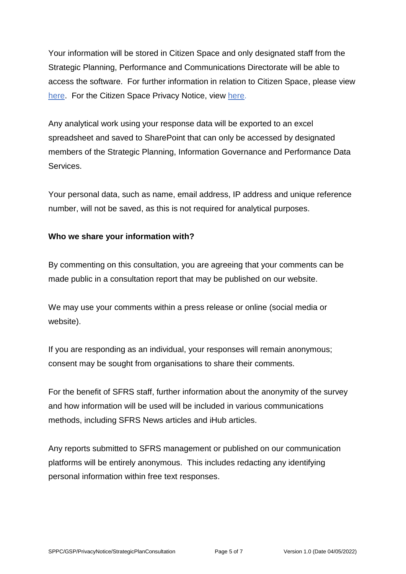Your information will be stored in Citizen Space and only designated staff from the Strategic Planning, Performance and Communications Directorate will be able to access the software. For further information in relation to Citizen Space, please view [here.](https://www.delib.net/citizen_space) For the Citizen Space Privacy Notice, view [here.](https://www.delib.net/legal/privacy_notice)

Any analytical work using your response data will be exported to an excel spreadsheet and saved to SharePoint that can only be accessed by designated members of the Strategic Planning, Information Governance and Performance Data Services.

Your personal data, such as name, email address, IP address and unique reference number, will not be saved, as this is not required for analytical purposes.

# **Who we share your information with?**

By commenting on this consultation, you are agreeing that your comments can be made public in a consultation report that may be published on our website.

We may use your comments within a press release or online (social media or website).

If you are responding as an individual, your responses will remain anonymous; consent may be sought from organisations to share their comments.

For the benefit of SFRS staff, further information about the anonymity of the survey and how information will be used will be included in various communications methods, including SFRS News articles and iHub articles.

Any reports submitted to SFRS management or published on our communication platforms will be entirely anonymous. This includes redacting any identifying personal information within free text responses.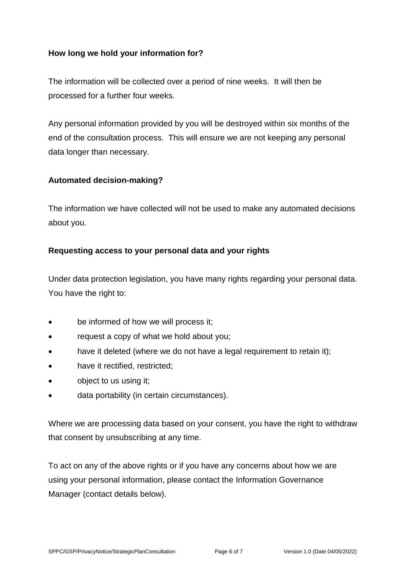#### **How long we hold your information for?**

The information will be collected over a period of nine weeks. It will then be processed for a further four weeks.

Any personal information provided by you will be destroyed within six months of the end of the consultation process. This will ensure we are not keeping any personal data longer than necessary.

#### **Automated decision-making?**

The information we have collected will not be used to make any automated decisions about you.

#### **Requesting access to your personal data and your rights**

Under data protection legislation, you have many rights regarding your personal data. You have the right to:

- be informed of how we will process it;
- request a copy of what we hold about you;
- have it deleted (where we do not have a legal requirement to retain it);
- have it rectified, restricted;
- object to us using it;
- data portability (in certain circumstances).

Where we are processing data based on your consent, you have the right to withdraw that consent by unsubscribing at any time.

To act on any of the above rights or if you have any concerns about how we are using your personal information, please contact the Information Governance Manager (contact details below).